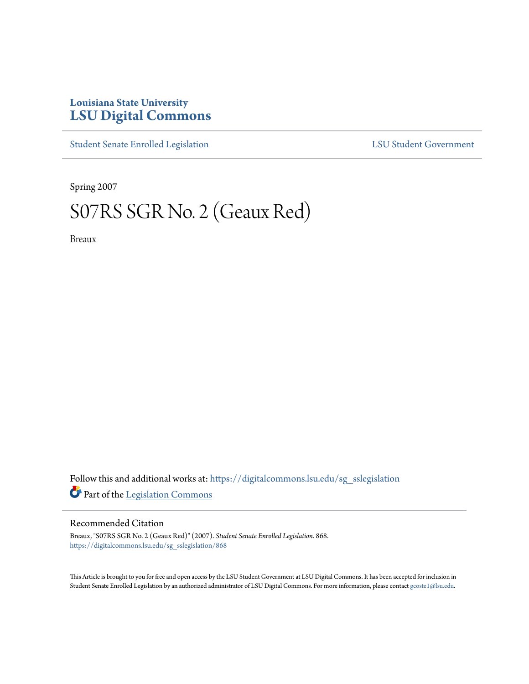## **Louisiana State University [LSU Digital Commons](https://digitalcommons.lsu.edu?utm_source=digitalcommons.lsu.edu%2Fsg_sslegislation%2F868&utm_medium=PDF&utm_campaign=PDFCoverPages)**

[Student Senate Enrolled Legislation](https://digitalcommons.lsu.edu/sg_sslegislation?utm_source=digitalcommons.lsu.edu%2Fsg_sslegislation%2F868&utm_medium=PDF&utm_campaign=PDFCoverPages) [LSU Student Government](https://digitalcommons.lsu.edu/sg?utm_source=digitalcommons.lsu.edu%2Fsg_sslegislation%2F868&utm_medium=PDF&utm_campaign=PDFCoverPages)

Spring 2007

## S07RS SGR No. 2 (Geaux Red)

Breaux

Follow this and additional works at: [https://digitalcommons.lsu.edu/sg\\_sslegislation](https://digitalcommons.lsu.edu/sg_sslegislation?utm_source=digitalcommons.lsu.edu%2Fsg_sslegislation%2F868&utm_medium=PDF&utm_campaign=PDFCoverPages) Part of the [Legislation Commons](http://network.bepress.com/hgg/discipline/859?utm_source=digitalcommons.lsu.edu%2Fsg_sslegislation%2F868&utm_medium=PDF&utm_campaign=PDFCoverPages)

## Recommended Citation

Breaux, "S07RS SGR No. 2 (Geaux Red)" (2007). *Student Senate Enrolled Legislation*. 868. [https://digitalcommons.lsu.edu/sg\\_sslegislation/868](https://digitalcommons.lsu.edu/sg_sslegislation/868?utm_source=digitalcommons.lsu.edu%2Fsg_sslegislation%2F868&utm_medium=PDF&utm_campaign=PDFCoverPages)

This Article is brought to you for free and open access by the LSU Student Government at LSU Digital Commons. It has been accepted for inclusion in Student Senate Enrolled Legislation by an authorized administrator of LSU Digital Commons. For more information, please contact [gcoste1@lsu.edu.](mailto:gcoste1@lsu.edu)